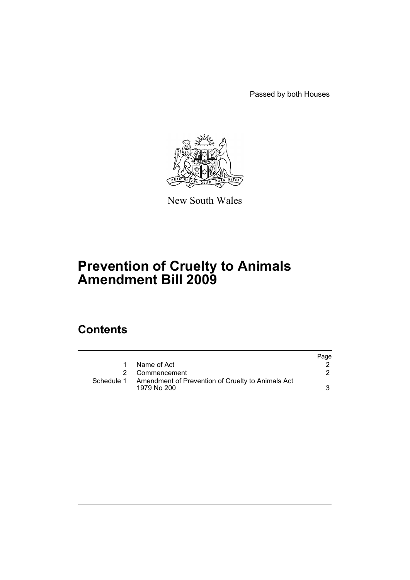Passed by both Houses



New South Wales

# **Prevention of Cruelty to Animals Amendment Bill 2009**

## **Contents**

|            |                                                                  | Page |
|------------|------------------------------------------------------------------|------|
| 1          | Name of Act                                                      |      |
|            | Commencement                                                     |      |
| Schedule 1 | Amendment of Prevention of Cruelty to Animals Act<br>1979 No 200 | 3    |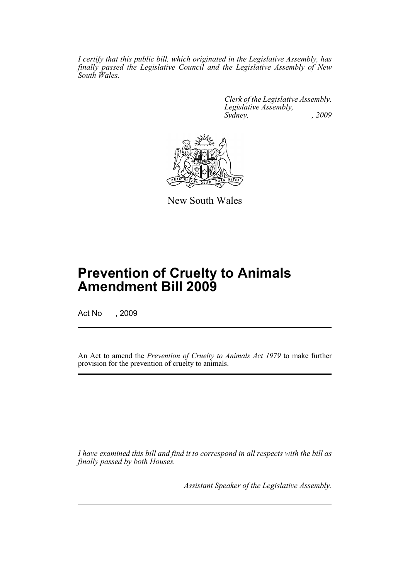*I certify that this public bill, which originated in the Legislative Assembly, has finally passed the Legislative Council and the Legislative Assembly of New South Wales.*

> *Clerk of the Legislative Assembly. Legislative Assembly, Sydney, , 2009*



New South Wales

## **Prevention of Cruelty to Animals Amendment Bill 2009**

Act No , 2009

An Act to amend the *Prevention of Cruelty to Animals Act 1979* to make further provision for the prevention of cruelty to animals.

*I have examined this bill and find it to correspond in all respects with the bill as finally passed by both Houses.*

*Assistant Speaker of the Legislative Assembly.*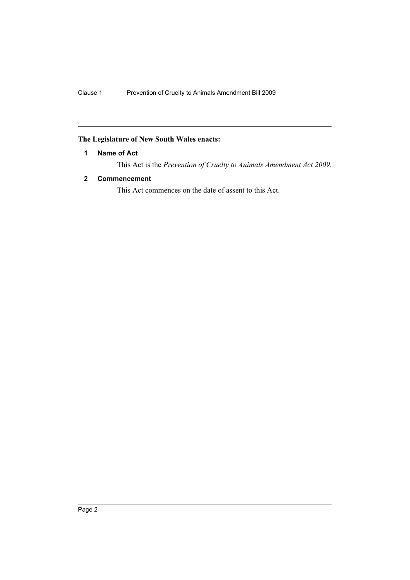## <span id="page-2-0"></span>**The Legislature of New South Wales enacts:**

### **1 Name of Act**

This Act is the *Prevention of Cruelty to Animals Amendment Act 2009*.

### <span id="page-2-1"></span>**2 Commencement**

This Act commences on the date of assent to this Act.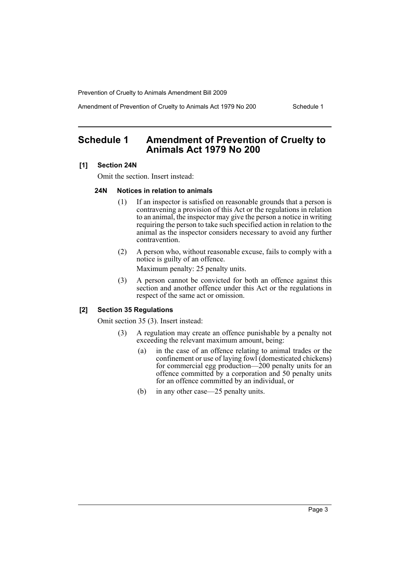Prevention of Cruelty to Animals Amendment Bill 2009

Amendment of Prevention of Cruelty to Animals Act 1979 No 200 Schedule 1

## <span id="page-3-0"></span>**Schedule 1 Amendment of Prevention of Cruelty to Animals Act 1979 No 200**

#### **[1] Section 24N**

Omit the section. Insert instead:

#### **24N Notices in relation to animals**

- (1) If an inspector is satisfied on reasonable grounds that a person is contravening a provision of this Act or the regulations in relation to an animal, the inspector may give the person a notice in writing requiring the person to take such specified action in relation to the animal as the inspector considers necessary to avoid any further contravention.
- (2) A person who, without reasonable excuse, fails to comply with a notice is guilty of an offence. Maximum penalty: 25 penalty units.
- (3) A person cannot be convicted for both an offence against this section and another offence under this Act or the regulations in respect of the same act or omission.

#### **[2] Section 35 Regulations**

Omit section 35 (3). Insert instead:

- (3) A regulation may create an offence punishable by a penalty not exceeding the relevant maximum amount, being:
	- (a) in the case of an offence relating to animal trades or the confinement or use of laying fowl (domesticated chickens) for commercial egg production—200 penalty units for an offence committed by a corporation and 50 penalty units for an offence committed by an individual, or
	- (b) in any other case—25 penalty units.